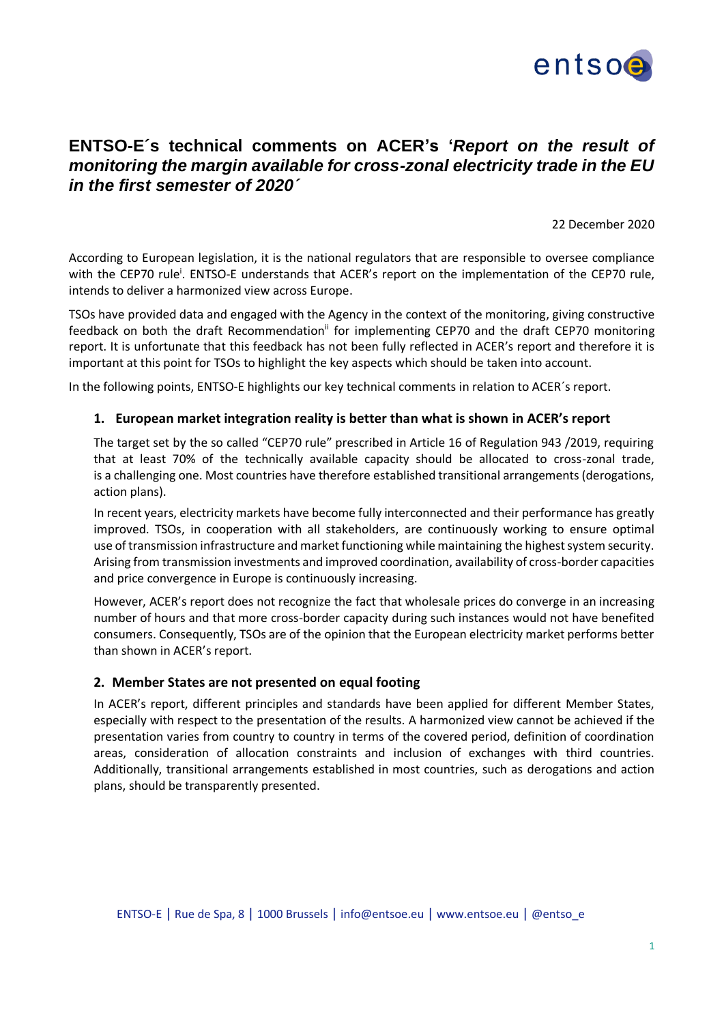

# **ENTSO-E´s technical comments on ACER's '***Report on the result of monitoring the margin available for cross-zonal electricity trade in the EU in the first semester of 2020´*

22 December 2020

According to European legislation, it is the national regulators that are responsible to oversee compliance with the CEP70 rule<sup>i</sup>. ENTSO-E understands that ACER's report on the implementation of the CEP70 rule, intends to deliver a harmonized view across Europe.

TSOs have provided data and engaged with the Agency in the context of the monitoring, giving constructive feedback on both the draft Recommendation<sup>ii</sup> for implementing CEP70 and the draft CEP70 monitoring report. It is unfortunate that this feedback has not been fully reflected in ACER's report and therefore it is important at this point for TSOs to highlight the key aspects which should be taken into account.

In the following points, ENTSO-E highlights our key technical comments in relation to ACER´s report.

# **1. European market integration reality is better than what is shown in ACER's report**

The target set by the so called "CEP70 rule" prescribed in Article 16 of Regulation 943 /2019, requiring that at least 70% of the technically available capacity should be allocated to cross-zonal trade, is a challenging one. Most countries have therefore established transitional arrangements (derogations, action plans).

In recent years, electricity markets have become fully interconnected and their performance has greatly improved. TSOs, in cooperation with all stakeholders, are continuously working to ensure optimal use of transmission infrastructure and market functioning while maintaining the highest system security. Arising from transmission investments and improved coordination, availability of cross-border capacities and price convergence in Europe is continuously increasing.

However, ACER's report does not recognize the fact that wholesale prices do converge in an increasing number of hours and that more cross-border capacity during such instances would not have benefited consumers. Consequently, TSOs are of the opinion that the European electricity market performs better than shown in ACER's report.

### **2. Member States are not presented on equal footing**

In ACER's report, different principles and standards have been applied for different Member States, especially with respect to the presentation of the results. A harmonized view cannot be achieved if the presentation varies from country to country in terms of the covered period, definition of coordination areas, consideration of allocation constraints and inclusion of exchanges with third countries. Additionally, transitional arrangements established in most countries, such as derogations and action plans, should be transparently presented.